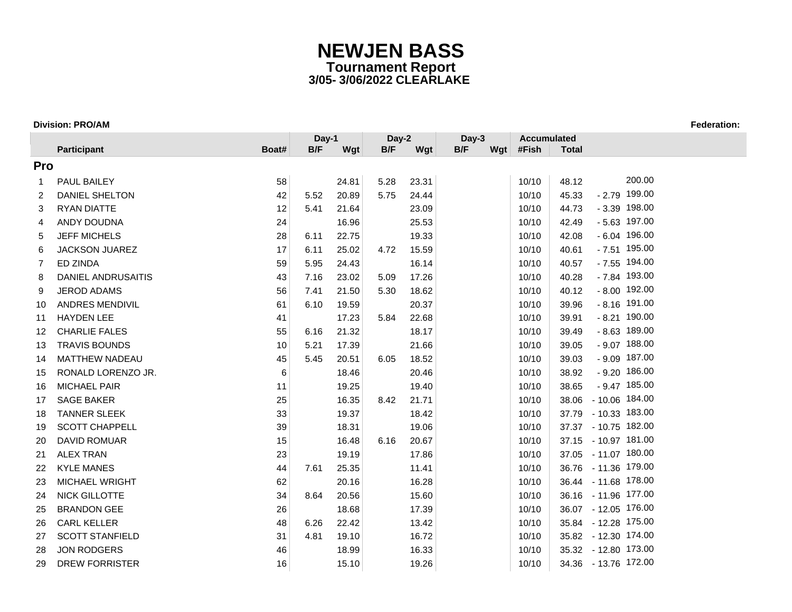|     |                        |       | Day-1 |       | Day-2 |       | Day-3 |     | <b>Accumulated</b> |              |                      |
|-----|------------------------|-------|-------|-------|-------|-------|-------|-----|--------------------|--------------|----------------------|
|     | Participant            | Boat# | B/F   | Wgt   | B/F   | Wgt   | B/F   | Wgt | #Fish              | <b>Total</b> |                      |
| Pro |                        |       |       |       |       |       |       |     |                    |              |                      |
| 1   | <b>PAUL BAILEY</b>     | 58    |       | 24.81 | 5.28  | 23.31 |       |     | 10/10              | 48.12        | 200.00               |
| 2   | <b>DANIEL SHELTON</b>  | 42    | 5.52  | 20.89 | 5.75  | 24.44 |       |     | 10/10              | 45.33        | $-2.79$ 199.00       |
| 3   | <b>RYAN DIATTE</b>     | 12    | 5.41  | 21.64 |       | 23.09 |       |     | 10/10              | 44.73        | $-3.39$ 198.00       |
| 4   | ANDY DOUDNA            | 24    |       | 16.96 |       | 25.53 |       |     | 10/10              | 42.49        | $-5.63$ 197.00       |
| 5   | <b>JEFF MICHELS</b>    | 28    | 6.11  | 22.75 |       | 19.33 |       |     | 10/10              | 42.08        | $-6.04$ 196.00       |
| 6   | <b>JACKSON JUAREZ</b>  | 17    | 6.11  | 25.02 | 4.72  | 15.59 |       |     | 10/10              | 40.61        | $-7.51$ 195.00       |
| 7   | ED ZINDA               | 59    | 5.95  | 24.43 |       | 16.14 |       |     | 10/10              | 40.57        | $-7.55$ 194.00       |
| 8   | DANIEL ANDRUSAITIS     | 43    | 7.16  | 23.02 | 5.09  | 17.26 |       |     | 10/10              | 40.28        | - 7.84 193.00        |
| 9   | <b>JEROD ADAMS</b>     | 56    | 7.41  | 21.50 | 5.30  | 18.62 |       |     | 10/10              | 40.12        | $-8.00$ 192.00       |
| 10  | ANDRES MENDIVIL        | 61    | 6.10  | 19.59 |       | 20.37 |       |     | 10/10              | 39.96        | $-8.16$ 191.00       |
| 11  | <b>HAYDEN LEE</b>      | 41    |       | 17.23 | 5.84  | 22.68 |       |     | 10/10              | 39.91        | $-8.21$ 190.00       |
| 12  | <b>CHARLIE FALES</b>   | 55    | 6.16  | 21.32 |       | 18.17 |       |     | 10/10              | 39.49        | $-8.63$ 189.00       |
| 13  | <b>TRAVIS BOUNDS</b>   | 10    | 5.21  | 17.39 |       | 21.66 |       |     | 10/10              | 39.05        | $-9.07$ 188.00       |
| 14  | MATTHEW NADEAU         | 45    | 5.45  | 20.51 | 6.05  | 18.52 |       |     | 10/10              | 39.03        | $-9.09$ 187.00       |
| 15  | RONALD LORENZO JR.     | 6     |       | 18.46 |       | 20.46 |       |     | 10/10              | 38.92        | $-9.20$ 186.00       |
| 16  | <b>MICHAEL PAIR</b>    | 11    |       | 19.25 |       | 19.40 |       |     | 10/10              | 38.65        | $-9.47$ 185.00       |
| 17  | <b>SAGE BAKER</b>      | 25    |       | 16.35 | 8.42  | 21.71 |       |     | 10/10              |              | 38.06 - 10.06 184.00 |
| 18  | <b>TANNER SLEEK</b>    | 33    |       | 19.37 |       | 18.42 |       |     | 10/10              |              | 37.79 - 10.33 183.00 |
| 19  | <b>SCOTT CHAPPELL</b>  | 39    |       | 18.31 |       | 19.06 |       |     | 10/10              |              | 37.37 - 10.75 182.00 |
| 20  | <b>DAVID ROMUAR</b>    | 15    |       | 16.48 | 6.16  | 20.67 |       |     | 10/10              |              | 37.15 - 10.97 181.00 |
| 21  | <b>ALEX TRAN</b>       | 23    |       | 19.19 |       | 17.86 |       |     | 10/10              |              | 37.05 - 11.07 180.00 |
| 22  | <b>KYLE MANES</b>      | 44    | 7.61  | 25.35 |       | 11.41 |       |     | 10/10              |              | 36.76 - 11.36 179.00 |
| 23  | <b>MICHAEL WRIGHT</b>  | 62    |       | 20.16 |       | 16.28 |       |     | 10/10              |              | 36.44 - 11.68 178.00 |
| 24  | <b>NICK GILLOTTE</b>   | 34    | 8.64  | 20.56 |       | 15.60 |       |     | 10/10              |              | 36.16 - 11.96 177.00 |
| 25  | <b>BRANDON GEE</b>     | 26    |       | 18.68 |       | 17.39 |       |     | 10/10              |              | 36.07 - 12.05 176.00 |
| 26  | <b>CARL KELLER</b>     | 48    | 6.26  | 22.42 |       | 13.42 |       |     | 10/10              |              | 35.84 - 12.28 175.00 |
| 27  | <b>SCOTT STANFIELD</b> | 31    | 4.81  | 19.10 |       | 16.72 |       |     | 10/10              |              | 35.82 - 12.30 174.00 |
| 28  | <b>JON RODGERS</b>     | 46    |       | 18.99 |       | 16.33 |       |     | 10/10              |              | 35.32 - 12.80 173.00 |
| 29  | <b>DREW FORRISTER</b>  | 16    |       | 15.10 |       | 19.26 |       |     | 10/10              |              | 34.36 - 13.76 172.00 |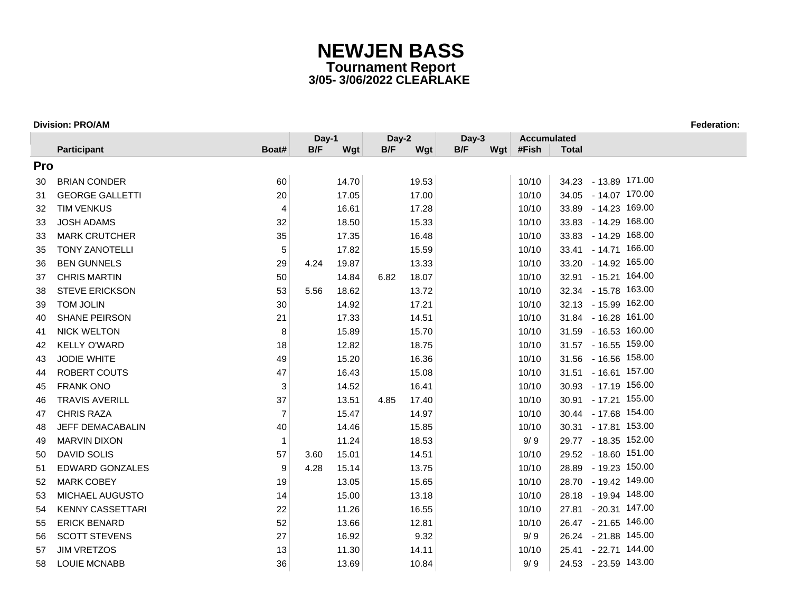|            |                         |                | Day-1 |       | Day-2 |       | Day-3 |     | <b>Accumulated</b> |              |                      |
|------------|-------------------------|----------------|-------|-------|-------|-------|-------|-----|--------------------|--------------|----------------------|
|            | <b>Participant</b>      | Boat#          | B/F   | Wgt   | B/F   | Wgt   | B/F   | Wgt | #Fish              | <b>Total</b> |                      |
| <b>Pro</b> |                         |                |       |       |       |       |       |     |                    |              |                      |
| 30         | <b>BRIAN CONDER</b>     | 60             |       | 14.70 |       | 19.53 |       |     | 10/10              |              | 34.23 - 13.89 171.00 |
| 31         | <b>GEORGE GALLETTI</b>  | 20             |       | 17.05 |       | 17.00 |       |     | 10/10              |              | 34.05 - 14.07 170.00 |
| 32         | <b>TIM VENKUS</b>       | $\overline{4}$ |       | 16.61 |       | 17.28 |       |     | 10/10              |              | 33.89 - 14.23 169.00 |
| 33         | <b>JOSH ADAMS</b>       | 32             |       | 18.50 |       | 15.33 |       |     | 10/10              |              | 33.83 - 14.29 168.00 |
| 33         | <b>MARK CRUTCHER</b>    | 35             |       | 17.35 |       | 16.48 |       |     | 10/10              |              | 33.83 - 14.29 168.00 |
| 35         | <b>TONY ZANOTELLI</b>   | 5              |       | 17.82 |       | 15.59 |       |     | 10/10              |              | 33.41 - 14.71 166.00 |
| 36         | <b>BEN GUNNELS</b>      | 29             | 4.24  | 19.87 |       | 13.33 |       |     | 10/10              |              | 33.20 - 14.92 165.00 |
| 37         | <b>CHRIS MARTIN</b>     | 50             |       | 14.84 | 6.82  | 18.07 |       |     | 10/10              |              | 32.91 - 15.21 164.00 |
| 38         | <b>STEVE ERICKSON</b>   | 53             | 5.56  | 18.62 |       | 13.72 |       |     | 10/10              |              | 32.34 - 15.78 163.00 |
| 39         | TOM JOLIN               | 30             |       | 14.92 |       | 17.21 |       |     | 10/10              |              | 32.13 - 15.99 162.00 |
| 40         | SHANE PEIRSON           | 21             |       | 17.33 |       | 14.51 |       |     | 10/10              |              | 31.84 - 16.28 161.00 |
| 41         | <b>NICK WELTON</b>      | 8              |       | 15.89 |       | 15.70 |       |     | 10/10              |              | 31.59 - 16.53 160.00 |
| 42         | <b>KELLY O'WARD</b>     | 18             |       | 12.82 |       | 18.75 |       |     | 10/10              |              | 31.57 - 16.55 159.00 |
| 43         | <b>JODIE WHITE</b>      | 49             |       | 15.20 |       | 16.36 |       |     | 10/10              |              | 31.56 - 16.56 158.00 |
| 44         | ROBERT COUTS            | 47             |       | 16.43 |       | 15.08 |       |     | 10/10              |              | 31.51 - 16.61 157.00 |
| 45         | <b>FRANK ONO</b>        | 3              |       | 14.52 |       | 16.41 |       |     | 10/10              |              | 30.93 - 17.19 156.00 |
| 46         | <b>TRAVIS AVERILL</b>   | 37             |       | 13.51 | 4.85  | 17.40 |       |     | 10/10              |              | 30.91 - 17.21 155.00 |
| 47         | <b>CHRIS RAZA</b>       | $\overline{7}$ |       | 15.47 |       | 14.97 |       |     | 10/10              |              | 30.44 - 17.68 154.00 |
| 48         | <b>JEFF DEMACABALIN</b> | 40             |       | 14.46 |       | 15.85 |       |     | 10/10              |              | 30.31 - 17.81 153.00 |
| 49         | <b>MARVIN DIXON</b>     | $\mathbf{1}$   |       | 11.24 |       | 18.53 |       |     | 9/9                |              | 29.77 - 18.35 152.00 |
| 50         | <b>DAVID SOLIS</b>      | 57             | 3.60  | 15.01 |       | 14.51 |       |     | 10/10              |              | 29.52 - 18.60 151.00 |
| 51         | <b>EDWARD GONZALES</b>  | 9              | 4.28  | 15.14 |       | 13.75 |       |     | 10/10              |              | 28.89 - 19.23 150.00 |
| 52         | <b>MARK COBEY</b>       | 19             |       | 13.05 |       | 15.65 |       |     | 10/10              |              | 28.70 - 19.42 149.00 |
| 53         | <b>MICHAEL AUGUSTO</b>  | 14             |       | 15.00 |       | 13.18 |       |     | 10/10              |              | 28.18 - 19.94 148.00 |
| 54         | <b>KENNY CASSETTARI</b> | 22             |       | 11.26 |       | 16.55 |       |     | 10/10              |              | 27.81 - 20.31 147.00 |
| 55         | <b>ERICK BENARD</b>     | 52             |       | 13.66 |       | 12.81 |       |     | 10/10              |              | 26.47 - 21.65 146.00 |
| 56         | <b>SCOTT STEVENS</b>    | 27             |       | 16.92 |       | 9.32  |       |     | 9/9                |              | 26.24 - 21.88 145.00 |
| 57         | <b>JIM VRETZOS</b>      | 13             |       | 11.30 |       | 14.11 |       |     | 10/10              |              | 25.41 - 22.71 144.00 |
| 58         | <b>LOUIE MCNABB</b>     | 36             |       | 13.69 |       | 10.84 |       |     | 9/9                |              | 24.53 - 23.59 143.00 |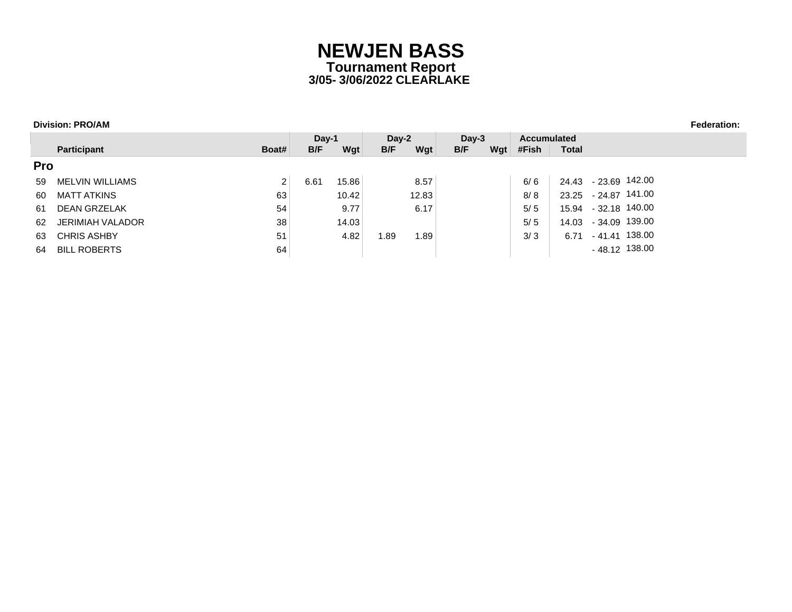|     |                     |                | $Day-1$ |       | $Day-2$ |       | $Dav-3$ |     | <b>Accumulated</b> |              |                |
|-----|---------------------|----------------|---------|-------|---------|-------|---------|-----|--------------------|--------------|----------------|
|     | Participant         | Boat#          | B/F     | Wgt   | B/F     | Wgt   | B/F     | Wgt | #Fish              | <b>Total</b> |                |
| Pro |                     |                |         |       |         |       |         |     |                    |              |                |
| 59  | MELVIN WILLIAMS     | $\overline{2}$ | 6.61    | 15.86 |         | 8.57  |         |     | 6/6                | 24.43        | - 23.69 142.00 |
| 60  | <b>MATT ATKINS</b>  | 63             |         | 10.42 |         | 12.83 |         |     | 8/8                | 23.25        | - 24.87 141.00 |
| 61  | <b>DEAN GRZELAK</b> | 54             |         | 9.77  |         | 6.17  |         |     | 5/5                | 15.94        | - 32.18 140.00 |
| 62  | JERIMIAH VALADOR    | 38             |         | 14.03 |         |       |         |     | 5/5                | 14.03        | - 34.09 139.00 |
| 63  | <b>CHRIS ASHBY</b>  | 51             |         | 4.82  | .89     | 89. ا |         |     | 3/3                | 6.71         | - 41.41 138.00 |
| 64  | <b>BILL ROBERTS</b> | 64             |         |       |         |       |         |     |                    |              | - 48.12 138.00 |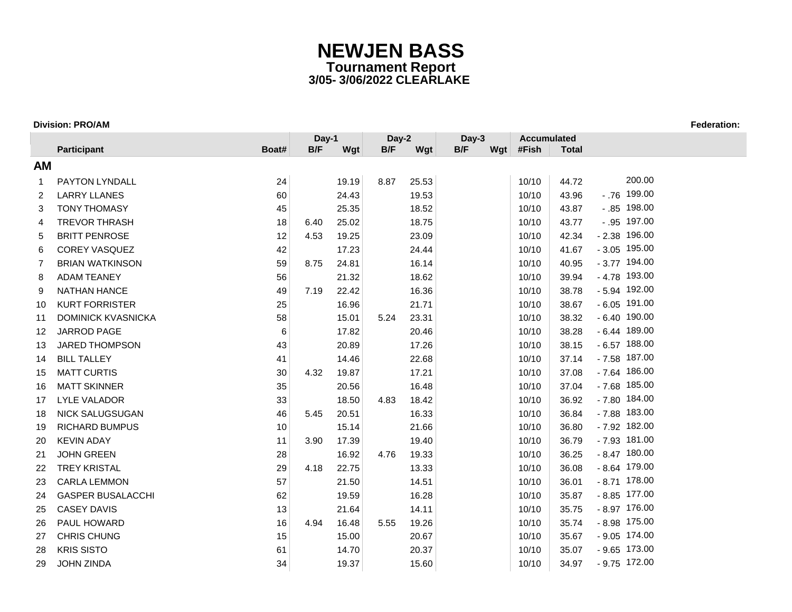|    |                           |       | Day-1 |       | Day-2 |       | Day-3 |     | <b>Accumulated</b> |              |                |
|----|---------------------------|-------|-------|-------|-------|-------|-------|-----|--------------------|--------------|----------------|
|    | Participant               | Boat# | B/F   | Wgt   | B/F   | Wgt   | B/F   | Wgt | #Fish              | <b>Total</b> |                |
| AM |                           |       |       |       |       |       |       |     |                    |              |                |
| 1  | <b>PAYTON LYNDALL</b>     | 24    |       | 19.19 | 8.87  | 25.53 |       |     | 10/10              | 44.72        | 200.00         |
| 2  | <b>LARRY LLANES</b>       | 60    |       | 24.43 |       | 19.53 |       |     | 10/10              | 43.96        | $-.76$ 199.00  |
| 3  | <b>TONY THOMASY</b>       | 45    |       | 25.35 |       | 18.52 |       |     | 10/10              | 43.87        | $-.85$ 198.00  |
| 4  | <b>TREVOR THRASH</b>      | 18    | 6.40  | 25.02 |       | 18.75 |       |     | 10/10              | 43.77        | $-.95$ 197.00  |
| 5  | <b>BRITT PENROSE</b>      | 12    | 4.53  | 19.25 |       | 23.09 |       |     | 10/10              | 42.34        | $-2.38$ 196.00 |
| 6  | <b>COREY VASQUEZ</b>      | 42    |       | 17.23 |       | 24.44 |       |     | 10/10              | 41.67        | $-3.05$ 195.00 |
| 7  | <b>BRIAN WATKINSON</b>    | 59    | 8.75  | 24.81 |       | 16.14 |       |     | 10/10              | 40.95        | $-3.77$ 194.00 |
| 8  | <b>ADAM TEANEY</b>        | 56    |       | 21.32 |       | 18.62 |       |     | 10/10              | 39.94        | $-4.78$ 193.00 |
| 9  | <b>NATHAN HANCE</b>       | 49    | 7.19  | 22.42 |       | 16.36 |       |     | 10/10              | 38.78        | $-5.94$ 192.00 |
| 10 | <b>KURT FORRISTER</b>     | 25    |       | 16.96 |       | 21.71 |       |     | 10/10              | 38.67        | $-6.05$ 191.00 |
| 11 | <b>DOMINICK KVASNICKA</b> | 58    |       | 15.01 | 5.24  | 23.31 |       |     | 10/10              | 38.32        | $-6.40$ 190.00 |
| 12 | JARROD PAGE               | 6     |       | 17.82 |       | 20.46 |       |     | 10/10              | 38.28        | $-6.44$ 189.00 |
| 13 | <b>JARED THOMPSON</b>     | 43    |       | 20.89 |       | 17.26 |       |     | 10/10              | 38.15        | $-6.57$ 188.00 |
| 14 | <b>BILL TALLEY</b>        | 41    |       | 14.46 |       | 22.68 |       |     | 10/10              | 37.14        | $-7.58$ 187.00 |
| 15 | <b>MATT CURTIS</b>        | 30    | 4.32  | 19.87 |       | 17.21 |       |     | 10/10              | 37.08        | $-7.64$ 186.00 |
| 16 | <b>MATT SKINNER</b>       | 35    |       | 20.56 |       | 16.48 |       |     | 10/10              | 37.04        | $-7.68$ 185.00 |
| 17 | <b>LYLE VALADOR</b>       | 33    |       | 18.50 | 4.83  | 18.42 |       |     | 10/10              | 36.92        | $-7.80$ 184.00 |
| 18 | <b>NICK SALUGSUGAN</b>    | 46    | 5.45  | 20.51 |       | 16.33 |       |     | 10/10              | 36.84        | - 7.88 183.00  |
| 19 | <b>RICHARD BUMPUS</b>     | 10    |       | 15.14 |       | 21.66 |       |     | 10/10              | 36.80        | - 7.92 182.00  |
| 20 | <b>KEVIN ADAY</b>         | 11    | 3.90  | 17.39 |       | 19.40 |       |     | 10/10              | 36.79        | $-7.93$ 181.00 |
| 21 | <b>JOHN GREEN</b>         | 28    |       | 16.92 | 4.76  | 19.33 |       |     | 10/10              | 36.25        | $-8.47$ 180.00 |
| 22 | <b>TREY KRISTAL</b>       | 29    | 4.18  | 22.75 |       | 13.33 |       |     | 10/10              | 36.08        | $-8.64$ 179.00 |
| 23 | <b>CARLA LEMMON</b>       | 57    |       | 21.50 |       | 14.51 |       |     | 10/10              | 36.01        | $-8.71$ 178.00 |
| 24 | <b>GASPER BUSALACCHI</b>  | 62    |       | 19.59 |       | 16.28 |       |     | 10/10              | 35.87        | $-8.85$ 177.00 |
| 25 | <b>CASEY DAVIS</b>        | 13    |       | 21.64 |       | 14.11 |       |     | 10/10              | 35.75        | $-8.97$ 176.00 |
| 26 | <b>PAUL HOWARD</b>        | 16    | 4.94  | 16.48 | 5.55  | 19.26 |       |     | 10/10              | 35.74        | $-8.98$ 175.00 |
| 27 | CHRIS CHUNG               | 15    |       | 15.00 |       | 20.67 |       |     | 10/10              | 35.67        | $-9.05$ 174.00 |
| 28 | <b>KRIS SISTO</b>         | 61    |       | 14.70 |       | 20.37 |       |     | 10/10              | 35.07        | $-9.65$ 173.00 |
| 29 | <b>JOHN ZINDA</b>         | 34    |       | 19.37 |       | 15.60 |       |     | 10/10              | 34.97        | $-9.75$ 172.00 |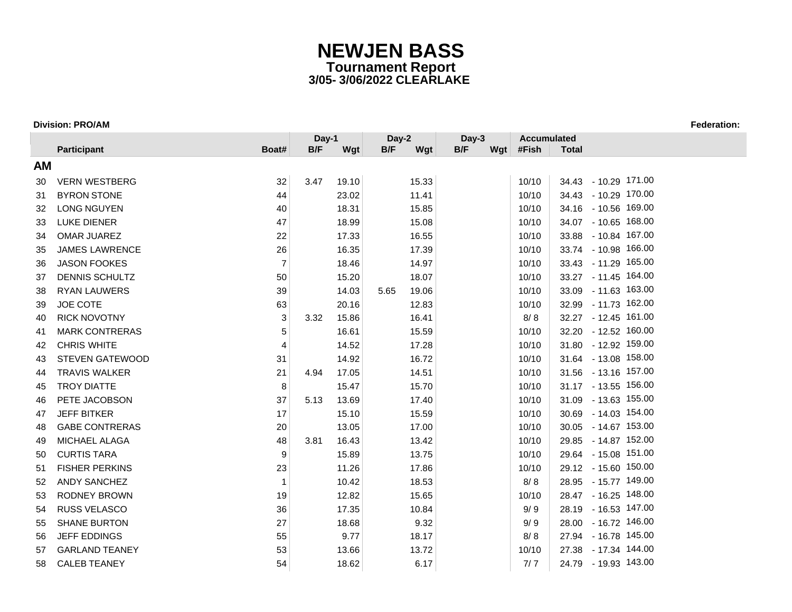|           |                        |                | Day-1 |       | Day-2 |       | Day-3 |  | <b>Accumulated</b> |              |                      |
|-----------|------------------------|----------------|-------|-------|-------|-------|-------|--|--------------------|--------------|----------------------|
|           | <b>Participant</b>     | Boat#          | B/F   | Wgt   | B/F   | Wgt   | B/F   |  | Wgt #Fish          | <b>Total</b> |                      |
| <b>AM</b> |                        |                |       |       |       |       |       |  |                    |              |                      |
| 30        | <b>VERN WESTBERG</b>   | 32             | 3.47  | 19.10 |       | 15.33 |       |  | 10/10              |              | 34.43 - 10.29 171.00 |
| 31        | <b>BYRON STONE</b>     | 44             |       | 23.02 |       | 11.41 |       |  | 10/10              |              | 34.43 - 10.29 170.00 |
| 32        | <b>LONG NGUYEN</b>     | 40             |       | 18.31 |       | 15.85 |       |  | 10/10              |              | 34.16 - 10.56 169.00 |
| 33        | <b>LUKE DIENER</b>     | 47             |       | 18.99 |       | 15.08 |       |  | 10/10              |              | 34.07 - 10.65 168.00 |
| 34        | <b>OMAR JUAREZ</b>     | 22             |       | 17.33 |       | 16.55 |       |  | 10/10              |              | 33.88 - 10.84 167.00 |
| 35        | <b>JAMES LAWRENCE</b>  | 26             |       | 16.35 |       | 17.39 |       |  | 10/10              |              | 33.74 - 10.98 166.00 |
| 36        | <b>JASON FOOKES</b>    | $\overline{7}$ |       | 18.46 |       | 14.97 |       |  | 10/10              |              | 33.43 - 11.29 165.00 |
| 37        | <b>DENNIS SCHULTZ</b>  | 50             |       | 15.20 |       | 18.07 |       |  | 10/10              |              | 33.27 - 11.45 164.00 |
| 38        | <b>RYAN LAUWERS</b>    | 39             |       | 14.03 | 5.65  | 19.06 |       |  | 10/10              |              | 33.09 - 11.63 163.00 |
| 39        | JOE COTE               | 63             |       | 20.16 |       | 12.83 |       |  | 10/10              |              | 32.99 - 11.73 162.00 |
| 40        | <b>RICK NOVOTNY</b>    | 3              | 3.32  | 15.86 |       | 16.41 |       |  | 8/8                |              | 32.27 - 12.45 161.00 |
| 41        | <b>MARK CONTRERAS</b>  | 5              |       | 16.61 |       | 15.59 |       |  | 10/10              |              | 32.20 - 12.52 160.00 |
| 42        | <b>CHRIS WHITE</b>     | 4              |       | 14.52 |       | 17.28 |       |  | 10/10              |              | 31.80 - 12.92 159.00 |
| 43        | <b>STEVEN GATEWOOD</b> | 31             |       | 14.92 |       | 16.72 |       |  | 10/10              |              | 31.64 - 13.08 158.00 |
| 44        | <b>TRAVIS WALKER</b>   | 21             | 4.94  | 17.05 |       | 14.51 |       |  | 10/10              |              | 31.56 - 13.16 157.00 |
| 45        | <b>TROY DIATTE</b>     | 8              |       | 15.47 |       | 15.70 |       |  | 10/10              |              | 31.17 - 13.55 156.00 |
| 46        | PETE JACOBSON          | 37             | 5.13  | 13.69 |       | 17.40 |       |  | 10/10              |              | 31.09 - 13.63 155.00 |
| 47        | <b>JEFF BITKER</b>     | 17             |       | 15.10 |       | 15.59 |       |  | 10/10              |              | 30.69 - 14.03 154.00 |
| 48        | <b>GABE CONTRERAS</b>  | 20             |       | 13.05 |       | 17.00 |       |  | 10/10              |              | 30.05 - 14.67 153.00 |
| 49        | MICHAEL ALAGA          | 48             | 3.81  | 16.43 |       | 13.42 |       |  | 10/10              |              | 29.85 - 14.87 152.00 |
| 50        | <b>CURTIS TARA</b>     | 9              |       | 15.89 |       | 13.75 |       |  | 10/10              |              | 29.64 - 15.08 151.00 |
| 51        | <b>FISHER PERKINS</b>  | 23             |       | 11.26 |       | 17.86 |       |  | 10/10              |              | 29.12 - 15.60 150.00 |
| 52        | <b>ANDY SANCHEZ</b>    | $\mathbf 1$    |       | 10.42 |       | 18.53 |       |  | 8/8                |              | 28.95 - 15.77 149.00 |
| 53        | RODNEY BROWN           | 19             |       | 12.82 |       | 15.65 |       |  | 10/10              |              | 28.47 - 16.25 148.00 |
| 54        | RUSS VELASCO           | 36             |       | 17.35 |       | 10.84 |       |  | 9/9                |              | 28.19 - 16.53 147.00 |
| 55        | <b>SHANE BURTON</b>    | 27             |       | 18.68 |       | 9.32  |       |  | 9/9                |              | 28.00 - 16.72 146.00 |
| 56        | JEFF EDDINGS           | 55             |       | 9.77  |       | 18.17 |       |  | 8/8                |              | 27.94 - 16.78 145.00 |
| 57        | <b>GARLAND TEANEY</b>  | 53             |       | 13.66 |       | 13.72 |       |  | 10/10              |              | 27.38 - 17.34 144.00 |
| 58        | <b>CALEB TEANEY</b>    | 54             |       | 18.62 |       | 6.17  |       |  | 7/7                |              | 24.79 - 19.93 143.00 |